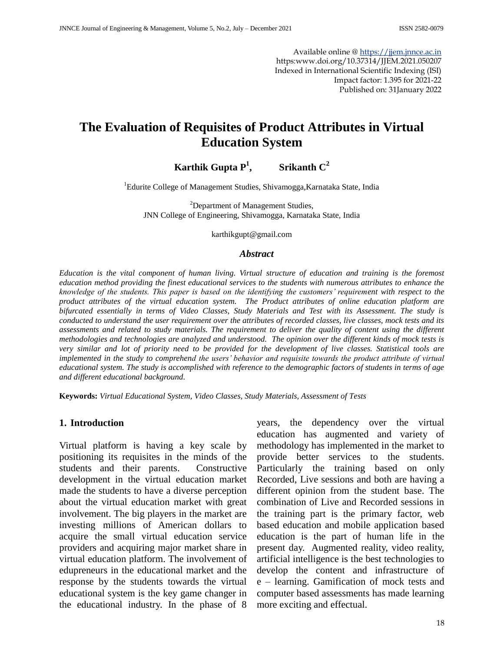Available online @ [https://jjem.jnnce.ac.in](https://jjem.jnnce.ac.in/) https:www.doi.org/10.37314/JJEM.2021.050207 Indexed in International Scientific Indexing (ISI) Impact factor: 1.395 for 2021-22 Published on: 31January 2022

# **The Evaluation of Requisites of Product Attributes in Virtual Education System**

#### **Karthik Gupta P<sup>1</sup> , Srikanth C<sup>2</sup>**

<sup>1</sup>Edurite College of Management Studies, Shivamogga, Karnataka State, India

<sup>2</sup>Department of Management Studies, JNN College of Engineering, Shivamogga, Karnataka State, India

karthikgupt@gmail.com

#### *Abstract*

*Education is the vital component of human living. Virtual structure of education and training is the foremost education method providing the finest educational services to the students with numerous attributes to enhance the knowledge of the students. This paper is based on the identifying the customers' requirement with respect to the product attributes of the virtual education system. The Product attributes of online education platform are bifurcated essentially in terms of Video Classes, Study Materials and Test with its Assessment. The study is conducted to understand the user requirement over the attributes of recorded classes, live classes, mock tests and its assessments and related to study materials. The requirement to deliver the quality of content using the different methodologies and technologies are analyzed and understood. The opinion over the different kinds of mock tests is very similar and lot of priority need to be provided for the development of live classes. Statistical tools are implemented in the study to comprehend the users' behavior and requisite towards the product attribute of virtual educational system. The study is accomplished with reference to the demographic factors of students in terms of age and different educational background.* 

**Keywords:** *Virtual Educational System, Video Classes, Study Materials, Assessment of Tests*

#### **1. Introduction**

Virtual platform is having a key scale by positioning its requisites in the minds of the students and their parents. Constructive development in the virtual education market made the students to have a diverse perception about the virtual education market with great involvement. The big players in the market are investing millions of American dollars to acquire the small virtual education service providers and acquiring major market share in virtual education platform. The involvement of edupreneurs in the educational market and the response by the students towards the virtual educational system is the key game changer in the educational industry. In the phase of 8

years, the dependency over the virtual education has augmented and variety of methodology has implemented in the market to provide better services to the students. Particularly the training based on only Recorded, Live sessions and both are having a different opinion from the student base. The combination of Live and Recorded sessions in the training part is the primary factor, web based education and mobile application based education is the part of human life in the present day. Augmented reality, video reality, artificial intelligence is the best technologies to develop the content and infrastructure of e – learning. Gamification of mock tests and computer based assessments has made learning more exciting and effectual.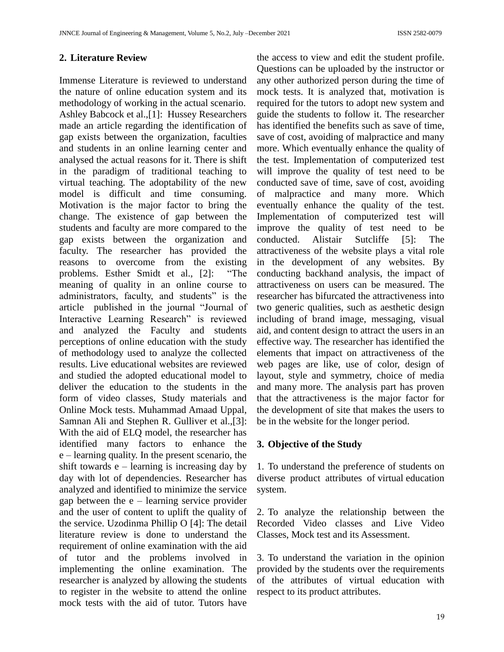## **2. Literature Review**

Immense Literature is reviewed to understand the nature of online education system and its methodology of working in the actual scenario. Ashley Babcock et al.,[1]: Hussey Researchers made an article regarding the identification of gap exists between the organization, faculties and students in an online learning center and analysed the actual reasons for it. There is shift in the paradigm of traditional teaching to virtual teaching. The adoptability of the new model is difficult and time consuming. Motivation is the major factor to bring the change. The existence of gap between the students and faculty are more compared to the gap exists between the organization and faculty. The researcher has provided the reasons to overcome from the existing problems. Esther Smidt et al., [2]: "The meaning of quality in an online course to administrators, faculty, and students" is the article published in the journal "Journal of Interactive Learning Research" is reviewed and analyzed the Faculty and students perceptions of online education with the study of methodology used to analyze the collected results. Live educational websites are reviewed and studied the adopted educational model to deliver the education to the students in the form of video classes, Study materials and Online Mock tests. Muhammad Amaad Uppal, Samnan Ali and Stephen R. Gulliver et al.,[3]: With the aid of ELQ model, the researcher has identified many factors to enhance the e – learning quality. In the present scenario, the shift towards  $e$  – learning is increasing day by day with lot of dependencies. Researcher has analyzed and identified to minimize the service gap between the  $e$  – learning service provider and the user of content to uplift the quality of the service. [Uzodinma Phillip O](https://www.researchgate.net/profile/Uzodinma-O) [4]: The detail literature review is done to understand the requirement of online examination with the aid of tutor and the problems involved in implementing the online examination. The researcher is analyzed by allowing the students to register in the website to attend the online mock tests with the aid of tutor. Tutors have

the access to view and edit the student profile. Questions can be uploaded by the instructor or any other authorized person during the time of mock tests. It is analyzed that, motivation is required for the tutors to adopt new system and guide the students to follow it. The researcher has identified the benefits such as save of time, save of cost, avoiding of malpractice and many more. Which eventually enhance the quality of the test. Implementation of computerized test will improve the quality of test need to be conducted save of time, save of cost, avoiding of malpractice and many more. Which eventually enhance the quality of the test. Implementation of computerized test will improve the quality of test need to be conducted. Alistair Sutcliffe [5]: The attractiveness of the website plays a vital role in the development of any websites. By conducting backhand analysis, the impact of attractiveness on users can be measured. The researcher has bifurcated the attractiveness into two generic qualities, such as aesthetic design including of brand image, messaging, visual aid, and content design to attract the users in an effective way. The researcher has identified the elements that impact on attractiveness of the web pages are like, use of color, design of layout, style and symmetry, choice of media and many more. The analysis part has proven that the attractiveness is the major factor for the development of site that makes the users to be in the website for the longer period.

### **3. Objective of the Study**

1. To understand the preference of students on diverse product attributes of virtual education system.

2. To analyze the relationship between the Recorded Video classes and Live Video Classes, Mock test and its Assessment.

3. To understand the variation in the opinion provided by the students over the requirements of the attributes of virtual education with respect to its product attributes.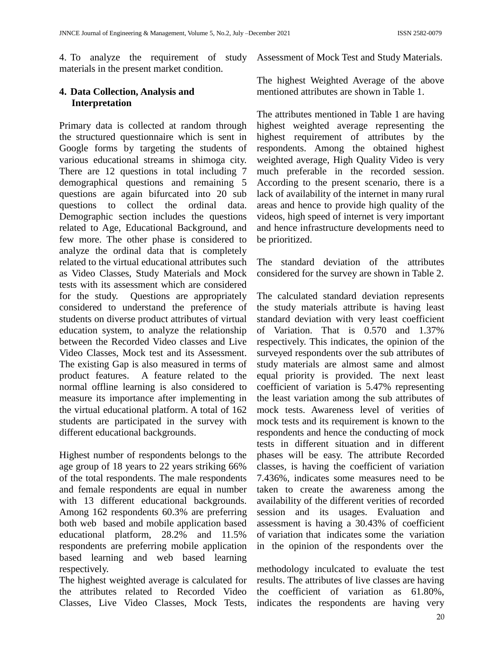4. To analyze the requirement of study Assessment of Mock Test and Study Materials. materials in the present market condition.

# **4. Data Collection, Analysis and Interpretation**

Primary data is collected at random through the structured questionnaire which is sent in Google forms by targeting the students of various educational streams in shimoga city. There are 12 questions in total including 7 demographical questions and remaining 5 questions are again bifurcated into 20 sub questions to collect the ordinal data. Demographic section includes the questions related to Age, Educational Background, and few more. The other phase is considered to analyze the ordinal data that is completely related to the virtual educational attributes such as Video Classes, Study Materials and Mock tests with its assessment which are considered for the study. Questions are appropriately considered to understand the preference of students on diverse product attributes of virtual education system, to analyze the relationship between the Recorded Video classes and Live Video Classes, Mock test and its Assessment. The existing Gap is also measured in terms of product features. A feature related to the normal offline learning is also considered to measure its importance after implementing in the virtual educational platform. A total of 162 students are participated in the survey with different educational backgrounds.

Highest number of respondents belongs to the age group of 18 years to 22 years striking 66% of the total respondents. The male respondents and female respondents are equal in number with 13 different educational backgrounds. Among 162 respondents 60.3% are preferring both web based and mobile application based educational platform, 28.2% and 11.5% respondents are preferring mobile application based learning and web based learning respectively.

The highest weighted average is calculated for the attributes related to Recorded Video Classes, Live Video Classes, Mock Tests,

The highest Weighted Average of the above mentioned attributes are shown in Table 1.

The attributes mentioned in Table 1 are having highest weighted average representing the highest requirement of attributes by the respondents. Among the obtained highest weighted average, High Quality Video is very much preferable in the recorded session. According to the present scenario, there is a lack of availability of the internet in many rural areas and hence to provide high quality of the videos, high speed of internet is very important and hence infrastructure developments need to be prioritized.

The standard deviation of the attributes considered for the survey are shown in Table 2.

The calculated standard deviation represents the study materials attribute is having least standard deviation with very least coefficient of Variation. That is 0.570 and 1.37% respectively. This indicates, the opinion of the surveyed respondents over the sub attributes of study materials are almost same and almost equal priority is provided. The next least coefficient of variation is 5.47% representing the least variation among the sub attributes of mock tests. Awareness level of verities of mock tests and its requirement is known to the respondents and hence the conducting of mock tests in different situation and in different phases will be easy. The attribute Recorded classes, is having the coefficient of variation 7.436%, indicates some measures need to be taken to create the awareness among the availability of the different verities of recorded session and its usages. Evaluation and assessment is having a 30.43% of coefficient of variation that indicates some the variation in the opinion of the respondents over the

methodology inculcated to evaluate the test results. The attributes of live classes are having the coefficient of variation as 61.80%, indicates the respondents are having very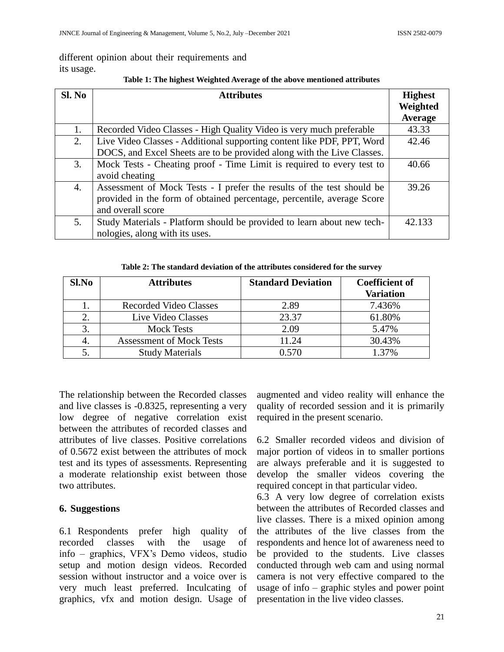# different opinion about their requirements and its usage.

| Sl. No | <b>Attributes</b>                                                      | <b>Highest</b> |
|--------|------------------------------------------------------------------------|----------------|
|        |                                                                        | Weighted       |
|        |                                                                        | <b>Average</b> |
| 1.     | Recorded Video Classes - High Quality Video is very much preferable    | 43.33          |
| 2.     | Live Video Classes - Additional supporting content like PDF, PPT, Word | 42.46          |
|        | DOCS, and Excel Sheets are to be provided along with the Live Classes. |                |
| 3.     | Mock Tests - Cheating proof - Time Limit is required to every test to  | 40.66          |
|        | avoid cheating                                                         |                |
| 4.     | Assessment of Mock Tests - I prefer the results of the test should be  | 39.26          |
|        | provided in the form of obtained percentage, percentile, average Score |                |
|        | and overall score                                                      |                |
| 5.     | Study Materials - Platform should be provided to learn about new tech- | 42.133         |
|        | nologies, along with its uses.                                         |                |

#### **Table 1: The highest Weighted Average of the above mentioned attributes**

| Sl.No | <b>Attributes</b>               | <b>Standard Deviation</b> | <b>Coefficient of</b><br><b>Variation</b> |
|-------|---------------------------------|---------------------------|-------------------------------------------|
|       | <b>Recorded Video Classes</b>   | 2.89                      | 7.436%                                    |
|       | Live Video Classes              | 23.37                     | 61.80%                                    |
| 3.    | <b>Mock Tests</b>               | 2.09                      | 5.47%                                     |
| 4.    | <b>Assessment of Mock Tests</b> | 1.24                      | 30.43%                                    |
|       | <b>Study Materials</b>          | 0.570                     | 1.37%                                     |

The relationship between the Recorded classes and live classes is -0.8325, representing a very low degree of negative correlation exist between the attributes of recorded classes and attributes of live classes. Positive correlations of 0.5672 exist between the attributes of mock test and its types of assessments. Representing a moderate relationship exist between those two attributes.

# **6. Suggestions**

6.1 Respondents prefer high quality of recorded classes with the usage of info – graphics, VFX's Demo videos, studio setup and motion design videos. Recorded session without instructor and a voice over is very much least preferred. Inculcating of graphics, vfx and motion design. Usage of augmented and video reality will enhance the quality of recorded session and it is primarily required in the present scenario.

6.2 Smaller recorded videos and division of major portion of videos in to smaller portions are always preferable and it is suggested to develop the smaller videos covering the required concept in that particular video.

6.3 A very low degree of correlation exists between the attributes of Recorded classes and live classes. There is a mixed opinion among the attributes of the live classes from the respondents and hence lot of awareness need to be provided to the students. Live classes conducted through web cam and using normal camera is not very effective compared to the usage of info – graphic styles and power point presentation in the live video classes.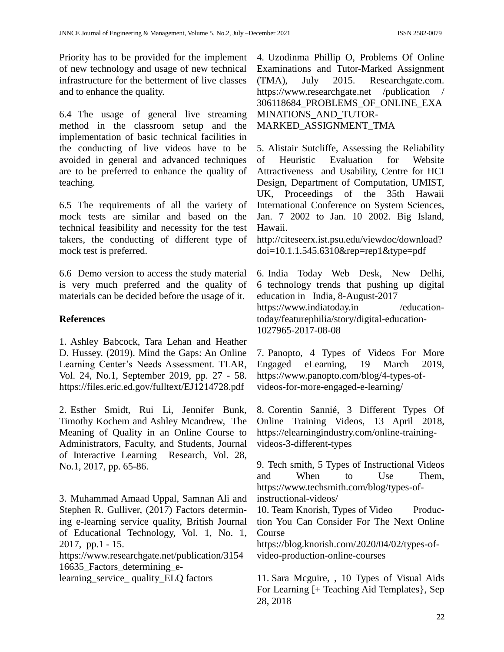Priority has to be provided for the implement of new technology and usage of new technical infrastructure for the betterment of live classes and to enhance the quality.

6.4 The usage of general live streaming method in the classroom setup and the implementation of basic technical facilities in the conducting of live videos have to be avoided in general and advanced techniques are to be preferred to enhance the quality of teaching.

6.5 The requirements of all the variety of mock tests are similar and based on the technical feasibility and necessity for the test takers, the conducting of different type of mock test is preferred.

6.6 Demo version to access the study material is very much preferred and the quality of materials can be decided before the usage of it.

# **References**

1. Ashley Babcock, Tara Lehan and Heather D. Hussey. (2019). Mind the Gaps: An Online Learning Center's Needs Assessment. TLAR, Vol. 24, No.1, September 2019, pp. 27 - 58. <https://files.eric.ed.gov/fulltext/EJ1214728.pdf>

2. Esther Smidt, Rui Li, Jennifer Bunk, Timothy Kochem and Ashley Mcandrew, The Meaning of Quality in an Online Course to Administrators, Faculty, and Students, Journal of Interactive Learning Research, Vol. 28, No.1, 2017, pp. 65-86.

3. Muhammad Amaad Uppal, Samnan Ali and Stephen R. Gulliver, (2017) Factors determining e-learning service quality, British Journal of Educational Technology, Vol. 1, No. 1, 2017, pp.1 - 15. [https://www.researchgate.net/publication/3154](https://www.researchgate.net/publication/315416635) [16635\\_](https://www.researchgate.net/publication/315416635)Factors\_determining\_e-

learning\_service\_ quality\_ELQ factors

4. Uzodinma Phillip O, Problems Of Online Examinations and Tutor-Marked Assignment (TMA), July 2015. Researchgate.com. https://www.researchgate.net /publication / 306118684\_PROBLEMS\_OF\_ONLINE\_EXA MINATIONS\_AND\_TUTOR-MARKED\_ASSIGNMENT\_TMA

5. Alistair Sutcliffe, Assessing the Reliability of Heuristic Evaluation for Website Attractiveness and Usability, Centre for HCI Design, Department of Computation, UMIST, UK, Proceedings of the 35th Hawaii International Conference on System Sciences, Jan. 7 2002 to Jan. 10 2002. Big Island, Hawaii.

http://citeseerx.ist.psu.edu/viewdoc/download? doi=10.1.1.545.6310&rep=rep1&type=pdf

6. India Today Web Desk, New Delhi, 6 technology trends that pushing up digital education in India, 8-August-2017 https://www.indiatoday.in /educationtoday/featurephilia/story/digital-education-1027965-2017-08-08

7. Panopto, 4 Types of Videos For More Engaged eLearning, 19 March 2019, [https://www.panopto.com/blog/4-types-of](https://www.panopto.com/blog/4-types-of-videos-for-more-engaged-e-learning/)[videos-for-more-engaged-e-learning/](https://www.panopto.com/blog/4-types-of-videos-for-more-engaged-e-learning/)

8. Corentin Sannié, 3 Different Types Of Online Training Videos, 13 April 2018, [https://elearningindustry.com/online-training](https://elearningindustry.com/online-training-videos-3-different-types)[videos-3-different-types](https://elearningindustry.com/online-training-videos-3-different-types)

9. Tech smith, 5 Types of Instructional Videos and When to Use Them, [https://www.techsmith.com/blog/types-of](https://www.techsmith.com/blog/types-of-instructional-videos/)[instructional-videos/](https://www.techsmith.com/blog/types-of-instructional-videos/)

10. Team Knorish, Types of Video Production You Can Consider For The Next Online Course

[https://blog.knorish.com/2020/04/02/types-of](https://blog.knorish.com/2020/04/02/types-of-video-production-online-courses)[video-production-online-courses](https://blog.knorish.com/2020/04/02/types-of-video-production-online-courses)

11. Sara Mcguire, , 10 Types of Visual Aids For Learning [+ Teaching Aid Templates}, Sep 28, 2018